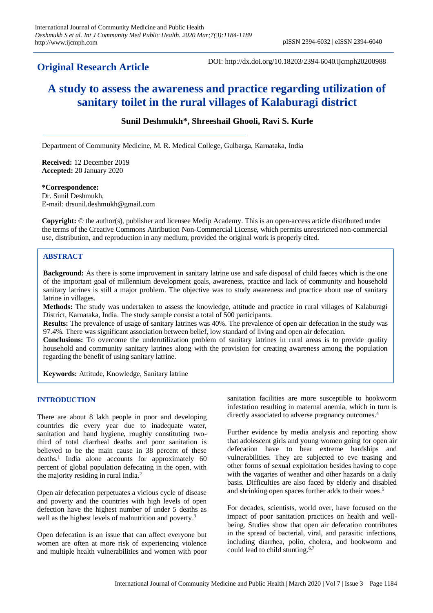# **Original Research Article**

DOI: http://dx.doi.org/10.18203/2394-6040.ijcmph20200988

# **A study to assess the awareness and practice regarding utilization of sanitary toilet in the rural villages of Kalaburagi district**

# **Sunil Deshmukh\*, Shreeshail Ghooli, Ravi S. Kurle**

Department of Community Medicine, M. R. Medical College, Gulbarga, Karnataka, India

**Received:** 12 December 2019 **Accepted:** 20 January 2020

#### **\*Correspondence:**

Dr. Sunil Deshmukh, E-mail: drsunil.deshmukh@gmail.com

**Copyright:** © the author(s), publisher and licensee Medip Academy. This is an open-access article distributed under the terms of the Creative Commons Attribution Non-Commercial License, which permits unrestricted non-commercial use, distribution, and reproduction in any medium, provided the original work is properly cited.

### **ABSTRACT**

**Background:** As there is some improvement in sanitary latrine use and safe disposal of child faeces which is the one of the important goal of millennium development goals, awareness, practice and lack of community and household sanitary latrines is still a major problem. The objective was to study awareness and practice about use of sanitary latrine in villages.

**Methods:** The study was undertaken to assess the knowledge, attitude and practice in rural villages of Kalaburagi District, Karnataka, India. The study sample consist a total of 500 participants.

**Results:** The prevalence of usage of sanitary latrines was 40%. The prevalence of open air defecation in the study was 97.4%. There was significant association between belief, low standard of living and open air defecation.

**Conclusions:** To overcome the underutilization problem of sanitary latrines in rural areas is to provide quality household and community sanitary latrines along with the provision for creating awareness among the population regarding the benefit of using sanitary latrine.

**Keywords:** Attitude, Knowledge, Sanitary latrine

### **INTRODUCTION**

There are about 8 lakh people in poor and developing countries die every year due to inadequate water, sanitation and hand hygiene, roughly constituting twothird of total diarrheal deaths and poor sanitation is believed to be the main cause in 38 percent of these deaths. 1 India alone accounts for approximately 60 percent of global population defecating in the open, with the majority residing in rural India. 2

Open air defecation perpetuates a vicious cycle of disease and poverty and the countries with high levels of open defection have the highest number of under 5 deaths as well as the highest levels of malnutrition and poverty.<sup>3</sup>

Open defecation is an issue that can affect everyone but women are often at more risk of experiencing violence and multiple health vulnerabilities and women with poor

sanitation facilities are more susceptible to hookworm infestation resulting in maternal anemia, which in turn is directly associated to adverse pregnancy outcomes.<sup>4</sup>

Further evidence by media analysis and reporting show that adolescent girls and young women going for open air defecation have to bear extreme hardships and vulnerabilities. They are subjected to eve teasing and other forms of sexual exploitation besides having to cope with the vagaries of weather and other hazards on a daily basis. Difficulties are also faced by elderly and disabled and shrinking open spaces further adds to their woes. 5

For decades, scientists, world over, have focused on the impact of poor sanitation practices on health and wellbeing. Studies show that open air defecation contributes in the spread of bacterial, viral, and parasitic infections, including diarrhea, polio, cholera, and hookworm and could lead to child stunting.<sup>6,7</sup>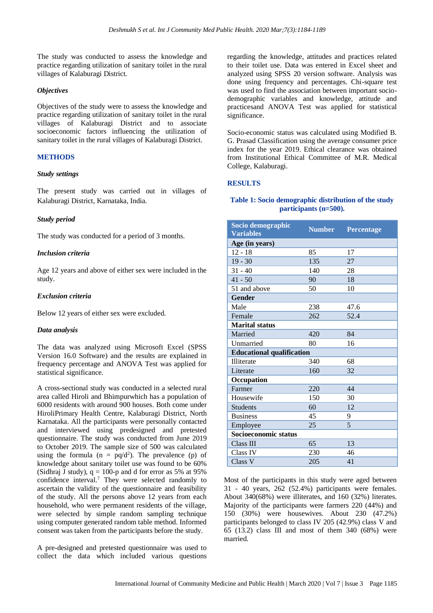The study was conducted to assess the knowledge and practice regarding utilization of sanitary toilet in the rural villages of Kalaburagi District.

#### *Objectives*

Objectives of the study were to assess the knowledge and practice regarding utilization of sanitary toilet in the rural villages of Kalaburagi District and to associate socioeconomic factors influencing the utilization of sanitary toilet in the rural villages of Kalaburagi District.

## **METHODS**

#### *Study settings*

The present study was carried out in villages of Kalaburagi District, Karnataka, India.

### *Study period*

The study was conducted for a period of 3 months.

#### *Inclusion criteria*

Age 12 years and above of either sex were included in the study.

#### *Exclusion criteria*

Below 12 years of either sex were excluded.

### *Data analysis*

The data was analyzed using Microsoft Excel (SPSS Version 16.0 Software) and the results are explained in frequency percentage and ANOVA Test was applied for statistical significance.

A cross-sectional study was conducted in a selected rural area called Hiroli and Bhimpurwhich has a population of 6000 residents with around 900 houses. Both come under HiroliPrimary Health Centre, Kalaburagi District, North Karnataka. All the participants were personally contacted and interviewed using predesigned and pretested questionnaire. The study was conducted from June 2019 to October 2019. The sample size of 500 was calculated using the formula ( $n = pq/d^2$ ). The prevalence (p) of knowledge about sanitary toilet use was found to be 60% (Sidhraj J study),  $q = 100$ -p and d for error as 5% at 95% confidence interval.<sup>7</sup> They were selected randomly to ascertain the validity of the questionnaire and feasibility of the study. All the persons above 12 years from each household, who were permanent residents of the village, were selected by simple random sampling technique using computer generated random table method. Informed consent was taken from the participants before the study.

A pre-designed and pretested questionnaire was used to collect the data which included various questions

regarding the knowledge, attitudes and practices related to their toilet use. Data was entered in Excel sheet and analyzed using SPSS 20 version software. Analysis was done using frequency and percentages. Chi-square test was used to find the association between important sociodemographic variables and knowledge, attitude and practicesand ANOVA Test was applied for statistical significance.

Socio-economic status was calculated using Modified B. G. Prasad Classification using the average consumer price index for the year 2019. Ethical clearance was obtained from Institutional Ethical Committee of M.R. Medical College, Kalaburagi.

### **RESULTS**

#### **Table 1: Socio demographic distribution of the study participants (n=500).**

| Socio demographic<br><b>Variables</b> | <b>Number</b> | Percentage |  |  |  |  |
|---------------------------------------|---------------|------------|--|--|--|--|
| Age (in years)                        |               |            |  |  |  |  |
| $12 - 18$                             | 85            | 17         |  |  |  |  |
| $19 - 30$                             | 135           | 27         |  |  |  |  |
| $31 - 40$                             | 140           | 28         |  |  |  |  |
| $41 - 50$                             | 90            | 18         |  |  |  |  |
| 51 and above                          | 50            | 10         |  |  |  |  |
| <b>Gender</b>                         |               |            |  |  |  |  |
| Male                                  | 238           | 47.6       |  |  |  |  |
| Female                                | 262           | 52.4       |  |  |  |  |
| <b>Marital status</b>                 |               |            |  |  |  |  |
| Married                               | 420           | 84         |  |  |  |  |
| Unmarried                             | 80            | 16         |  |  |  |  |
| <b>Educational qualification</b>      |               |            |  |  |  |  |
| Illiterate                            | 340           | 68         |  |  |  |  |
| Literate                              | 160           | 32         |  |  |  |  |
| Occupation                            |               |            |  |  |  |  |
| Farmer                                | 220           | 44         |  |  |  |  |
| Housewife                             | 150           | 30         |  |  |  |  |
| <b>Students</b>                       | 60            | 12         |  |  |  |  |
| <b>Business</b>                       | 45            | 9          |  |  |  |  |
| Employee                              | 25            | 5          |  |  |  |  |
| Socioeconomic status                  |               |            |  |  |  |  |
| Class III                             | 65            | 13         |  |  |  |  |
| Class IV                              | 230           | 46         |  |  |  |  |
| Class V                               | 205           | 41         |  |  |  |  |

Most of the participants in this study were aged between 31 - 40 years, 262 (52.4%) participants were females. About 340(68%) were illiterates, and 160 (32%) literates. Majority of the participants were farmers 220 (44%) and 150 (30%) were housewives. About 230 (47.2%) participants belonged to class IV 205 (42.9%) class V and 65 (13.2) class III and most of them 340 (68%) were married.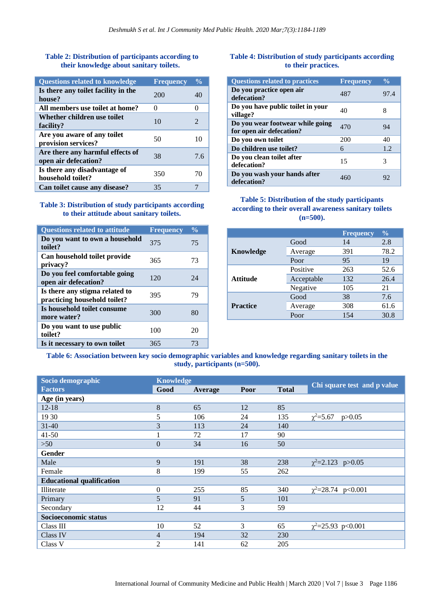# **Table 2: Distribution of participants according to their knowledge about sanitary toilets.**

| <b>Questions related to knowledge</b>                    | <b>Frequency</b>  | $\frac{0}{0}$ |
|----------------------------------------------------------|-------------------|---------------|
| Is there any toilet facility in the<br>house?            | 200               | 40            |
| All members use toilet at home?                          | $\mathbf{\Omega}$ | 0             |
| Whether children use toilet<br>facility?                 | 10                | 2             |
| Are you aware of any toilet<br>provision services?       | 50                | 10            |
| Are there any harmful effects of<br>open air defecation? | 38                | 7.6           |
| Is there any disadvantage of<br>household toilet?        | 350               | 70            |
| Can toilet cause any disease?                            | 35                |               |

#### **Table 3: Distribution of study participants according to their attitude about sanitary toilets.**

| <b>Questions related to attitude</b>                           | <b>Frequency</b> | $\frac{0}{0}$ |
|----------------------------------------------------------------|------------------|---------------|
| Do you want to own a household<br>toilet?                      | 375              | 75            |
| Can household toilet provide<br>privacy?                       | 365              | 73            |
| Do you feel comfortable going<br>open air defecation?          | 120              | 24            |
| Is there any stigma related to<br>practicing household toilet? | 395              | 79            |
| Is household toilet consume<br>more water?                     | 300              | 80            |
| Do you want to use public<br>toilet?                           | 100              | 20            |
| Is it necessary to own toilet                                  | 365              | 73            |

#### **Table 4: Distribution of study participants according to their practices.**

| <b>Questions related to practices</b>                        | <b>Frequency</b> | $\frac{0}{\alpha}$ |
|--------------------------------------------------------------|------------------|--------------------|
| Do you practice open air<br>defecation?                      | 487              | 97.4               |
| Do you have public toilet in your<br>village?                | 40               | 8                  |
| Do you wear footwear while going<br>for open air defecation? | 470              | 94                 |
| Do you own toilet                                            | 200              | 40                 |
| Do children use toilet?                                      | 6                | 1.2                |
| Do you clean toilet after<br>defecation?                     | 15               | 3                  |
| Do you wash your hands after<br>defecation?                  | 460              | 92                 |

# **Table 5: Distribution of the study participants according to their overall awareness sanitary toilets (n=500).**

|                  |            | <b>Frequency</b> | $\frac{0}{0}$ |
|------------------|------------|------------------|---------------|
|                  | Good       | 14               | 2.8           |
| <b>Knowledge</b> | Average    | 391              | 78.2          |
|                  | Poor       | 95               | 19            |
| <b>Attitude</b>  | Positive   | 263              | 52.6          |
|                  | Acceptable | 132              | 26.4          |
|                  | Negative   | 105              | 21            |
| <b>Practice</b>  | Good       | 38               | 7.6           |
|                  | Average    | 308              | 61.6          |
|                  | Poor       | 154              | 30.8          |

**Table 6: Association between key socio demographic variables and knowledge regarding sanitary toilets in the study, participants (n=500).**

| Socio demographic                | <b>Knowledge</b> |         |      |              |                             |
|----------------------------------|------------------|---------|------|--------------|-----------------------------|
| <b>Factors</b>                   | Good             | Average | Poor | <b>Total</b> | Chi square test and p value |
| Age (in years)                   |                  |         |      |              |                             |
| $12 - 18$                        | 8                | 65      | 12   | 85           |                             |
| 19 30                            | 5                | 106     | 24   | 135          | $\chi^2 = 5.67$<br>p > 0.05 |
| $31 - 40$                        | 3                | 113     | 24   | 140          |                             |
| $41 - 50$                        | 1                | 72      | 17   | 90           |                             |
| $>50$                            | $\mathbf{0}$     | 34      | 16   | 50           |                             |
| Gender                           |                  |         |      |              |                             |
| Male                             | 9                | 191     | 38   | 238          | $\chi^2$ =2.123 p>0.05      |
| Female                           | 8                | 199     | 55   | 262          |                             |
| <b>Educational qualification</b> |                  |         |      |              |                             |
| Illiterate                       | $\boldsymbol{0}$ | 255     | 85   | 340          | $\chi^2$ =28.74 p<0.001     |
| Primary                          | $\mathfrak{H}$   | 91      | 5    | 101          |                             |
| Secondary                        | 12               | 44      | 3    | 59           |                             |
| Socioeconomic status             |                  |         |      |              |                             |
| Class III                        | 10               | 52      | 3    | 65           | $\chi^2$ =25.93 p<0.001     |
| Class IV                         | $\overline{4}$   | 194     | 32   | 230          |                             |
| Class V                          | $\overline{2}$   | 141     | 62   | 205          |                             |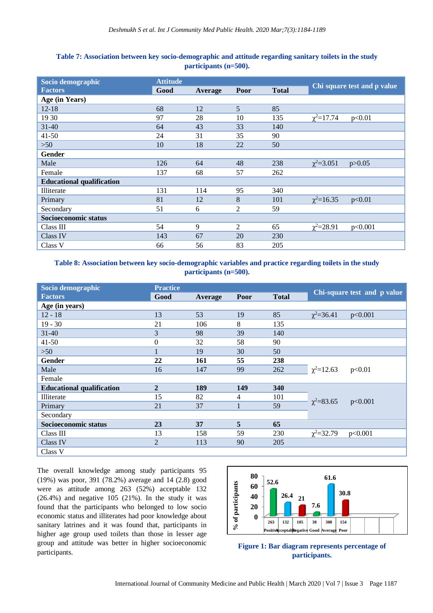| Socio demographic                | <b>Attitude</b> |         |                |              |                              |
|----------------------------------|-----------------|---------|----------------|--------------|------------------------------|
| <b>Factors</b>                   | Good            | Average | Poor           | <b>Total</b> | Chi square test and p value  |
| Age (in Years)                   |                 |         |                |              |                              |
| $12 - 18$                        | 68              | 12      | $\mathfrak{S}$ | 85           |                              |
| 19 30                            | 97              | 28      | 10             | 135          | $\chi^2 = 17.74$<br>p<0.01   |
| $31 - 40$                        | 64              | 43      | 33             | 140          |                              |
| $41 - 50$                        | 24              | 31      | 35             | 90           |                              |
| $>50$                            | 10              | 18      | 22             | 50           |                              |
| Gender                           |                 |         |                |              |                              |
| Male                             | 126             | 64      | 48             | 238          | $\chi^2 = 3.051$<br>p > 0.05 |
| Female                           | 137             | 68      | 57             | 262          |                              |
| <b>Educational qualification</b> |                 |         |                |              |                              |
| Illiterate                       | 131             | 114     | 95             | 340          |                              |
| Primary                          | 81              | 12      | 8              | 101          | $\chi^2 = 16.35$<br>p<0.01   |
| Secondary                        | 51              | 6       | 2              | 59           |                              |
| Socioeconomic status             |                 |         |                |              |                              |
| Class III                        | 54              | 9       | 2              | 65           | $\chi^2 = 28.91$<br>p<0.001  |
| Class IV                         | 143             | 67      | 20             | 230          |                              |
| Class V                          | 66              | 56      | 83             | 205          |                              |

# **Table 7: Association between key socio-demographic and attitude regarding sanitary toilets in the study participants (n=500).**

**Table 8: Association between key socio-demographic variables and practice regarding toilets in the study participants (n=500).**

| Socio demographic                | <b>Practice</b> |         |                |              |                             |  |  |
|----------------------------------|-----------------|---------|----------------|--------------|-----------------------------|--|--|
| <b>Factors</b>                   | Good            | Average | Poor           | <b>Total</b> | Chi-square test and p value |  |  |
| Age (in years)                   |                 |         |                |              |                             |  |  |
| 12 - 18                          | 13              | 53      | 19             | 85           | $\chi^2 = 36.41$<br>p<0.001 |  |  |
| $19 - 30$                        | 21              | 106     | 8              | 135          |                             |  |  |
| $31 - 40$                        | 3               | 98      | 39             | 140          |                             |  |  |
| $41 - 50$                        | $\overline{0}$  | 32      | 58             | 90           |                             |  |  |
| $>50$                            |                 | 19      | 30             | 50           |                             |  |  |
| Gender                           | 22              | 161     | 55             | 238          |                             |  |  |
| Male                             | 16              | 147     | 99             | 262          | $\chi^2 = 12.63$<br>p<0.01  |  |  |
| Female                           |                 |         |                |              |                             |  |  |
| <b>Educational qualification</b> | $\overline{2}$  | 189     | 149            | <b>340</b>   |                             |  |  |
| Illiterate                       | 15              | 82      | 4              | 101          |                             |  |  |
| Primary                          | 21              | 37      |                | 59           | $\chi^2 = 83.65$<br>p<0.001 |  |  |
| Secondary                        |                 |         |                |              |                             |  |  |
| Socioeconomic status             | 23              | 37      | 5 <sup>5</sup> | 65           |                             |  |  |
| Class III                        | 13              | 158     | 59             | 230          | $\chi^2 = 32.79$<br>p<0.001 |  |  |
| Class IV                         | $\overline{2}$  | 113     | 90             | 205          |                             |  |  |
| Class V                          |                 |         |                |              |                             |  |  |

The overall knowledge among study participants 95 (19%) was poor, 391 (78.2%) average and 14 (2.8) good were as attitude among 263 (52%) acceptable 132  $(26.4\%)$  and negative 105  $(21\%)$ . In the study it was found that the participants who belonged to low socio economic status and illiterates had poor knowledge about sanitary latrines and it was found that, participants in higher age group used toilets than those in lesser age group and attitude was better in higher socioeconomic participants.



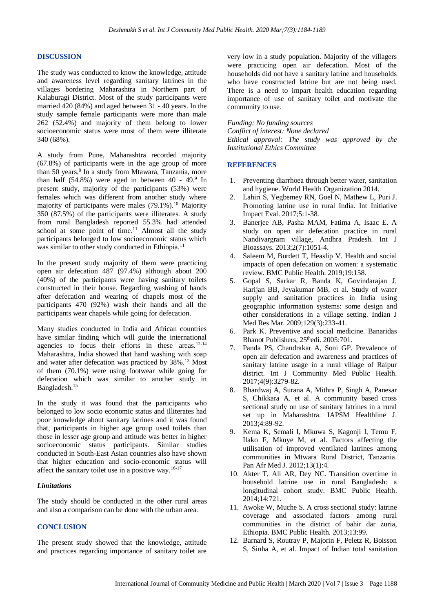#### **DISCUSSION**

The study was conducted to know the knowledge, attitude and awareness level regarding sanitary latrines in the villages bordering Maharashtra in Northern part of Kalaburagi District. Most of the study participants were married 420 (84%) and aged between 31 - 40 years. In the study sample female participants were more than male 262 (52.4%) and majority of them belong to lower socioeconomic status were most of them were illiterate 340 (68%).

A study from Pune, Maharashtra recorded majority (67.8%) of participants were in the age group of more than 50 years.<sup>8</sup> In a study from Mtawara, Tanzania, more than half  $(54.8%)$  were aged in between  $40 - 49.9$  In present study, majority of the participants (53%) were females which was different from another study where majority of participants were males  $(79.1\%)$ .<sup>10</sup> Majority 350 (87.5%) of the participants were illiterates. A study from rural Bangladesh reported 55.3% had attended school at some point of time.<sup>11</sup> Almost all the study participants belonged to low socioeconomic status which was similar to other study conducted in Ethiopia.<sup>11</sup>

In the present study majority of them were practicing open air defecation 487 (97.4%) although about 200 (40%) of the participants were having sanitary toilets constructed in their house. Regarding washing of hands after defecation and wearing of chapels most of the participants 470 (92%) wash their hands and all the participants wear chapels while going for defecation.

Many studies conducted in India and African countries have similar finding which will guide the international agencies to focus their efforts in these areas.12-14 Maharashtra, India showed that hand washing with soap and water after defecation was practiced by 38%.<sup>13</sup> Most of them (70.1%) were using footwear while going for defecation which was similar to another study in Bangladesh.<sup>15</sup>

In the study it was found that the participants who belonged to low socio economic status and illiterates had poor knowledge about sanitary latrines and it was found that, participants in higher age group used toilets than those in lesser age group and attitude was better in higher socioeconomic status participants. Similar studies conducted in South-East Asian countries also have shown that higher education and socio-economic status will affect the sanitary toilet use in a positive way.<sup>16-17</sup>

#### *Limitations*

The study should be conducted in the other rural areas and also a comparison can be done with the urban area.

#### **CONCLUSION**

The present study showed that the knowledge, attitude and practices regarding importance of sanitary toilet are

very low in a study population. Majority of the villagers were practicing open air defecation. Most of the households did not have a sanitary latrine and households who have constructed latrine but are not being used. There is a need to impart health education regarding importance of use of sanitary toilet and motivate the community to use.

*Funding: No funding sources Conflict of interest: None declared Ethical approval: The study was approved by the Institutional Ethics Committee*

#### **REFERENCES**

- 1. Preventing diarrhoea through better water, sanitation and hygiene. World Health Organization 2014.
- 2. Lahiri S, Yegbemey RN, Goel N, Mathew L, Puri J. Promoting latrine use in rural India. Int Initiative Impact Eval. 2017;5:1-38.
- 3. Banerjee AB, Pasha MAM, Fatima A, Isaac E. A study on open air defecation practice in rural Nandivargram village, Andhra Pradesh. Int J Bioassays. 2013;2(7):1051-4.
- 4. Saleem M, Burdett T, Heaslip V. Health and social impacts of open defecation on women: a systematic review. BMC Public Health. 2019;19:158.
- 5. Gopal S, Sarkar R, Banda K, Govindarajan J, Harijan BB, Jeyakumar MB, et al. Study of water supply and sanitation practices in India using geographic information systems: some design and other considerations in a village setting. Indian J Med Res Mar. 2009;129(3):233-41.
- 6. Park K. Preventive and social medicine. Banaridas Bhanot Publishers, 25<sup>th</sup>edi. 2005:701.
- 7. Panda PS, Chandrakar A, Soni GP. Prevalence of open air defecation and awareness and practices of sanitary latrine usage in a rural village of Raipur district. Int J Community Med Public Health. 2017;4(9):3279-82.
- 8. Bhardwaj A, Surana A, Mithra P, Singh A, Panesar S, Chikkara A. et al. A community based cross sectional study on use of sanitary latrines in a rural set up in Maharashtra. IAPSM Healthline J. 2013;4:89-92.
- 9. Kema K, Semali I, Mkuwa S, Kagonji I, Temu F, Ilako F, Mkuye M, et al. Factors affecting the utilisation of improved ventilated latrines among communities in Mtwara Rural District, Tanzania. Pan Afr Med J. 2012;13(1):4.
- 10. Akter T, Ali AR, Dey NC. Transition overtime in household latrine use in rural Bangladesh: a longitudinal cohort study. BMC Public Health. 2014;14:721.
- 11. Awoke W, Muche S. A cross sectional study: latrine coverage and associated factors among rural communities in the district of bahir dar zuria, Ethiopia. BMC Public Health. 2013;13:99.
- 12. Barnard S, Routray P, Majorin F, Peletz R, Boisson S, Sinha A, et al. Impact of Indian total sanitation